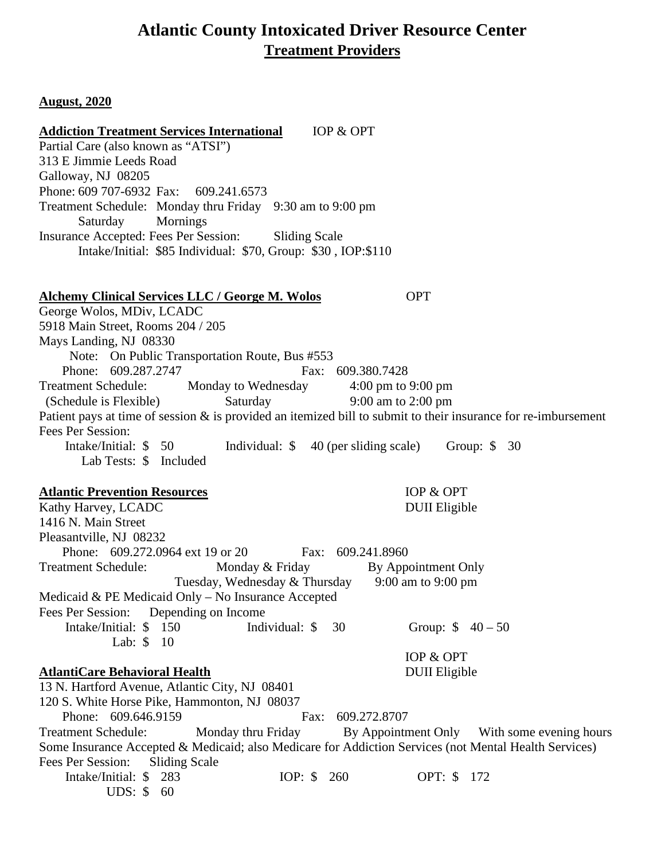## **Atlantic County Intoxicated Driver Resource Center Treatment Providers**

#### **August, 2020**

**Addiction Treatment Services International** IOP & OPT Partial Care (also known as "ATSI") 313 E Jimmie Leeds Road Galloway, NJ 08205 Phone: 609 707-6932 Fax: 609.241.6573 Treatment Schedule: Monday thru Friday 9:30 am to 9:00 pm Saturday Mornings Insurance Accepted: Fees Per Session: Sliding Scale Intake/Initial: \$85 Individual: \$70, Group: \$30 , IOP:\$110 **Alchemy Clinical Services LLC / George M. Wolos** OPT George Wolos, MDiv, LCADC 5918 Main Street, Rooms 204 / 205 Mays Landing, NJ 08330 Note: On Public Transportation Route, Bus #553 Phone: 609.287.2747 Fax: 609.380.7428 Treatment Schedule: Monday to Wednesday 4:00 pm to 9:00 pm<br>
(Schedule is Flexible) Saturday 9:00 am to 2:00 pm (Schedule is Flexible) Saturday Patient pays at time of session & is provided an itemized bill to submit to their insurance for re-imbursement Fees Per Session: Intake/Initial: \$ 50 Individual: \$ 40 (per sliding scale) Group: \$ 30 Lab Tests: \$ Included **Atlantic Prevention Resources** IOP & OPT Kathy Harvey, LCADC DUII Eligible 1416 N. Main Street Pleasantville, NJ 08232 Phone: 609.272.0964 ext 19 or 20 Fax: 609.241.8960 Treatment Schedule: Monday & Friday By Appointment Only Tuesday, Wednesday & Thursday 9:00 am to 9:00 pm Medicaid & PE Medicaid Only – No Insurance Accepted Fees Per Session: Depending on Income Intake/Initial: \$ 150 Individual: \$ 30 Group: \$ 40 – 50 Lab: \$ 10 **AtlantiCare Behavioral Health** IOP & OPT DUII Eligible 13 N. Hartford Avenue, Atlantic City, NJ 08401 120 S. White Horse Pike, Hammonton, NJ 08037 Phone: 609.646.9159 Fax: 609.272.8707 Treatment Schedule: Monday thru Friday By Appointment Only With some evening hours Some Insurance Accepted & Medicaid; also Medicare for Addiction Services (not Mental Health Services) Fees Per Session: Sliding Scale Intake/Initial: \$ 283 IOP: \$ 260 OPT: \$ 172 UDS: \$ 60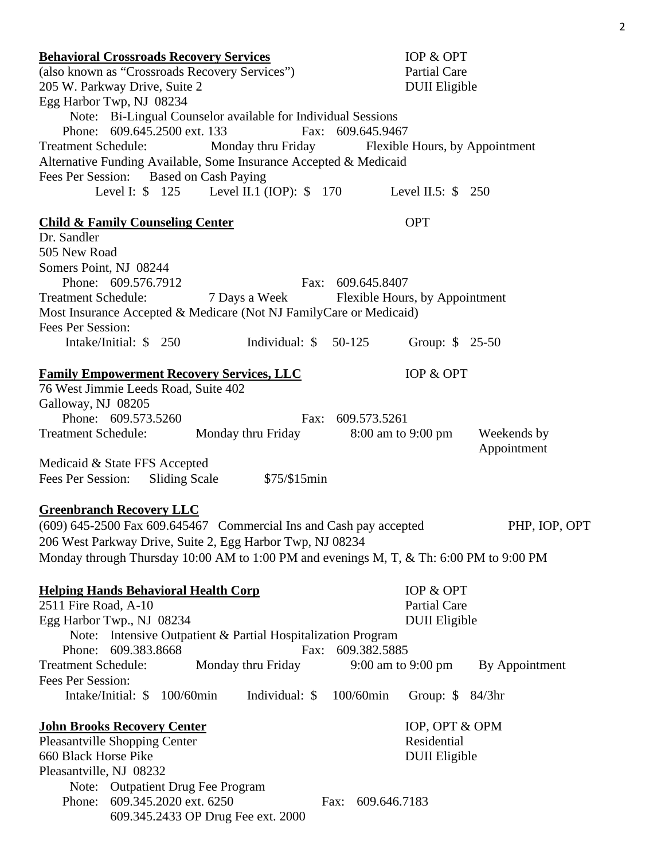| <b>Behavioral Crossroads Recovery Services</b><br>(also known as "Crossroads Recovery Services")<br>205 W. Parkway Drive, Suite 2<br>Egg Harbor Twp, NJ 08234                                                                                                   | IOP & OPT<br><b>Partial Care</b><br><b>DUII</b> Eligible               |                            |
|-----------------------------------------------------------------------------------------------------------------------------------------------------------------------------------------------------------------------------------------------------------------|------------------------------------------------------------------------|----------------------------|
| Note: Bi-Lingual Counselor available for Individual Sessions<br>Phone: 609.645.2500 ext. 133<br><b>Treatment Schedule:</b><br>Alternative Funding Available, Some Insurance Accepted & Medicaid<br>Fees Per Session: Based on Cash Paying                       | Fax: 609.645.9467<br>Monday thru Friday Flexible Hours, by Appointment |                            |
| Level I: \$ 125 Level II.1 (IOP): \$ 170 Level II.5: \$ 250                                                                                                                                                                                                     |                                                                        |                            |
| <b>Child &amp; Family Counseling Center</b><br>Dr. Sandler                                                                                                                                                                                                      | <b>OPT</b>                                                             |                            |
| 505 New Road<br>Somers Point, NJ 08244<br>Phone: 609.576.7912<br><b>Treatment Schedule:</b><br>Most Insurance Accepted & Medicare (Not NJ FamilyCare or Medicaid)                                                                                               | Fax: 609.645.8407<br>7 Days a Week Flexible Hours, by Appointment      |                            |
| Fees Per Session:<br>Intake/Initial: $$250$<br>Individual: $$50-125$                                                                                                                                                                                            |                                                                        | Group: \$ 25-50            |
| <b>Family Empowerment Recovery Services, LLC</b><br>76 West Jimmie Leeds Road, Suite 402<br>Galloway, NJ 08205                                                                                                                                                  | IOP & OPT                                                              |                            |
| Phone: 609.573.5260<br>Treatment Schedule: Monday thru Friday 8:00 am to 9:00 pm                                                                                                                                                                                | Fax: 609.573.5261                                                      | Weekends by<br>Appointment |
| Medicaid & State FFS Accepted<br>Fees Per Session: Sliding Scale<br>\$75/\$15min                                                                                                                                                                                |                                                                        |                            |
| <b>Greenbranch Recovery LLC</b><br>$(609)$ 645-2500 Fax 609.645467 Commercial Ins and Cash pay accepted<br>206 West Parkway Drive, Suite 2, Egg Harbor Twp, NJ 08234<br>Monday through Thursday 10:00 AM to 1:00 PM and evenings M, T, & Th: 6:00 PM to 9:00 PM |                                                                        | PHP, IOP, OPT              |
| <b>Helping Hands Behavioral Health Corp</b><br>2511 Fire Road, A-10<br>Egg Harbor Twp., NJ 08234<br>Note: Intensive Outpatient & Partial Hospitalization Program                                                                                                | IOP & OPT<br><b>Partial Care</b><br><b>DUII</b> Eligible               |                            |
| 609.383.8668<br>Phone:<br>Fax:<br><b>Treatment Schedule:</b><br>Monday thru Friday                                                                                                                                                                              | 609.382.5885<br>9:00 am to 9:00 pm                                     | By Appointment             |
| Fees Per Session:<br>Intake/Initial: \$ 100/60min<br>Individual: \$                                                                                                                                                                                             | 100/60min                                                              | Group: $$84/3hr$           |
| <b>John Brooks Recovery Center</b><br>Pleasantville Shopping Center<br>660 Black Horse Pike<br>Pleasantville, NJ 08232                                                                                                                                          | Residential<br><b>DUII</b> Eligible                                    | IOP, OPT & OPM             |
| Note: Outpatient Drug Fee Program<br>609.345.2020 ext. 6250<br>Phone:<br>609.345.2433 OP Drug Fee ext. 2000                                                                                                                                                     | 609.646.7183<br>Fax:                                                   |                            |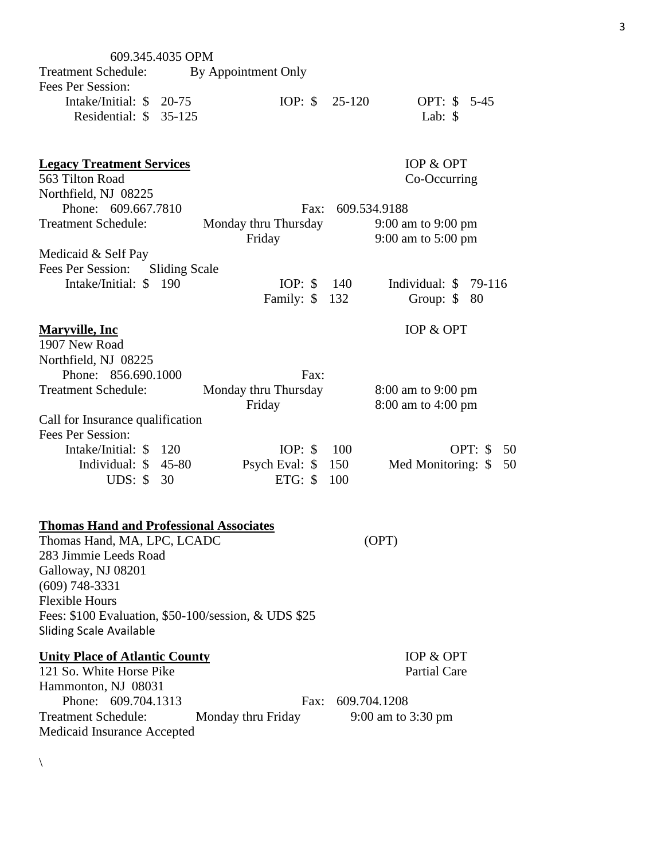| 609.345.4035 OPM                                     |                      |                      |              |                          |  |
|------------------------------------------------------|----------------------|----------------------|--------------|--------------------------|--|
| <b>Treatment Schedule:</b>                           | By Appointment Only  |                      |              |                          |  |
| Fees Per Session:                                    |                      |                      |              |                          |  |
| Intake/Initial: $$20-75$                             |                      | IOP: $\$\$           | $25-120$     | OPT: \$ 5-45             |  |
| Residential: \$ 35-125                               |                      |                      |              | Lab: $\$$                |  |
|                                                      |                      |                      |              |                          |  |
|                                                      |                      |                      |              |                          |  |
| <b>Legacy Treatment Services</b>                     |                      |                      |              | IOP & OPT                |  |
| 563 Tilton Road                                      |                      |                      |              | Co-Occurring             |  |
| Northfield, NJ 08225                                 |                      |                      |              |                          |  |
| Phone: 609.667.7810                                  |                      | Fax:                 | 609.534.9188 |                          |  |
| <b>Treatment Schedule:</b>                           |                      | Monday thru Thursday |              | 9:00 am to 9:00 pm       |  |
|                                                      |                      | Friday               |              | 9:00 am to 5:00 pm       |  |
| Medicaid & Self Pay                                  |                      |                      |              |                          |  |
| Fees Per Session:                                    | <b>Sliding Scale</b> |                      |              |                          |  |
|                                                      |                      |                      |              |                          |  |
| Intake/Initial: \$ 190                               |                      | IOP: $\$\$           | 140          | Individual: $$79-116$    |  |
|                                                      |                      | Family: \$           | 132          | Group: $\$<br>80         |  |
|                                                      |                      |                      |              | IOP & OPT                |  |
| <b>Maryville, Inc</b><br>1907 New Road               |                      |                      |              |                          |  |
|                                                      |                      |                      |              |                          |  |
| Northfield, NJ 08225                                 |                      |                      |              |                          |  |
| Phone: 856.690.1000                                  |                      | Fax:                 |              |                          |  |
| <b>Treatment Schedule:</b>                           |                      | Monday thru Thursday |              | 8:00 am to 9:00 pm       |  |
|                                                      |                      | Friday               |              | 8:00 am to 4:00 pm       |  |
| Call for Insurance qualification                     |                      |                      |              |                          |  |
| Fees Per Session:                                    |                      |                      |              |                          |  |
| Intake/Initial: \$120                                |                      | IOP: $\$$            | 100          | OPT: $\$$<br>50          |  |
| Individual: $$45-80$                                 |                      | Psych Eval: \$       | 150          | Med Monitoring: \$<br>50 |  |
| <b>UDS:</b> \$ 30                                    |                      | $ETG:$ \$            | 100          |                          |  |
|                                                      |                      |                      |              |                          |  |
|                                                      |                      |                      |              |                          |  |
| <b>Thomas Hand and Professional Associates</b>       |                      |                      |              |                          |  |
| Thomas Hand, MA, LPC, LCADC                          |                      |                      |              | (OPT)                    |  |
| 283 Jimmie Leeds Road                                |                      |                      |              |                          |  |
| Galloway, NJ 08201                                   |                      |                      |              |                          |  |
| $(609)$ 748-3331                                     |                      |                      |              |                          |  |
| <b>Flexible Hours</b>                                |                      |                      |              |                          |  |
| Fees: \$100 Evaluation, \$50-100/session, & UDS \$25 |                      |                      |              |                          |  |
| <b>Sliding Scale Available</b>                       |                      |                      |              |                          |  |
|                                                      |                      |                      |              |                          |  |
| <b>Unity Place of Atlantic County</b>                |                      |                      |              | IOP & OPT                |  |
| 121 So. White Horse Pike                             |                      |                      |              | <b>Partial Care</b>      |  |
| Hammonton, NJ 08031                                  |                      |                      |              |                          |  |
| Phone: 609.704.1313                                  |                      | Fax:                 | 609.704.1208 |                          |  |
| <b>Treatment Schedule:</b>                           |                      | Monday thru Friday   |              | 9:00 am to 3:30 pm       |  |
| Medicaid Insurance Accepted                          |                      |                      |              |                          |  |
|                                                      |                      |                      |              |                          |  |

 $\backslash$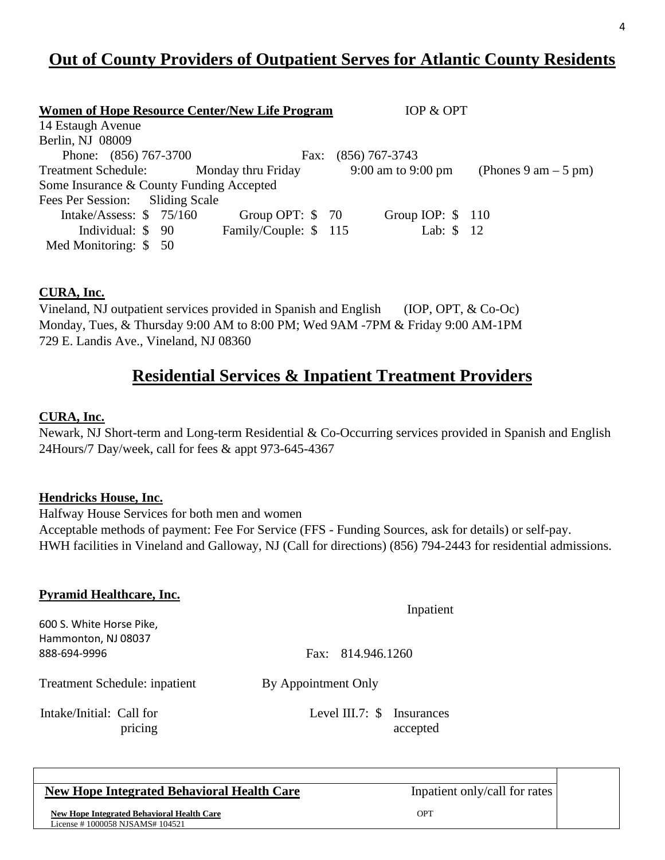# **Out of County Providers of Outpatient Serves for Atlantic County Residents**

| Women of Hope Resource Center/New Life Program |                      | IOP & OPT          |                       |
|------------------------------------------------|----------------------|--------------------|-----------------------|
| 14 Estaugh Avenue                              |                      |                    |                       |
| Berlin, NJ 08009                               |                      |                    |                       |
| Phone: (856) 767-3700                          | Fax:                 | $(856)$ 767-3743   |                       |
| Treatment Schedule: Monday thru Friday         |                      | 9:00 am to 9:00 pm | (Phones 9 am $-5$ pm) |
| Some Insurance & County Funding Accepted       |                      |                    |                       |
| Fees Per Session: Sliding Scale                |                      |                    |                       |
| Intake/Assess: $$75/160$                       | Group OPT: $$70$     | Group IOP: $$110$  |                       |
| Individual: $$90$                              | Family/Couple: \$115 | Lab: \$ 12         |                       |
| Med Monitoring: $$50$                          |                      |                    |                       |

### **CURA, Inc.**

Vineland, NJ outpatient services provided in Spanish and English (IOP, OPT, & Co-Oc) Monday, Tues, & Thursday 9:00 AM to 8:00 PM; Wed 9AM -7PM & Friday 9:00 AM-1PM 729 E. Landis Ave., Vineland, NJ 08360

## **Residential Services & Inpatient Treatment Providers**

### **CURA, Inc.**

Newark, NJ Short-term and Long-term Residential & Co-Occurring services provided in Spanish and English 24Hours/7 Day/week, call for fees & appt 973-645-4367

#### **Hendricks House, Inc.**

Halfway House Services for both men and women Acceptable methods of payment: Fee For Service (FFS - Funding Sources, ask for details) or self-pay. HWH facilities in Vineland and Galloway, NJ (Call for directions) (856) 794-2443 for residential admissions.

| <b>Pyramid Healthcare, Inc.</b>                                 | Inpatient                              |
|-----------------------------------------------------------------|----------------------------------------|
| 600 S. White Horse Pike,<br>Hammonton, NJ 08037<br>888-694-9996 | Fax: 814.946.1260                      |
| Treatment Schedule: inpatient                                   | By Appointment Only                    |
| Intake/Initial: Call for<br>pricing                             | Level III.7: \$ Insurances<br>accepted |

### **New Hope Integrated Behavioral Health Care** Inpatient only/call for rates

**New Hope Integrated Behavioral Health Care OPT** License # 1000058 NJSAMS# 104521